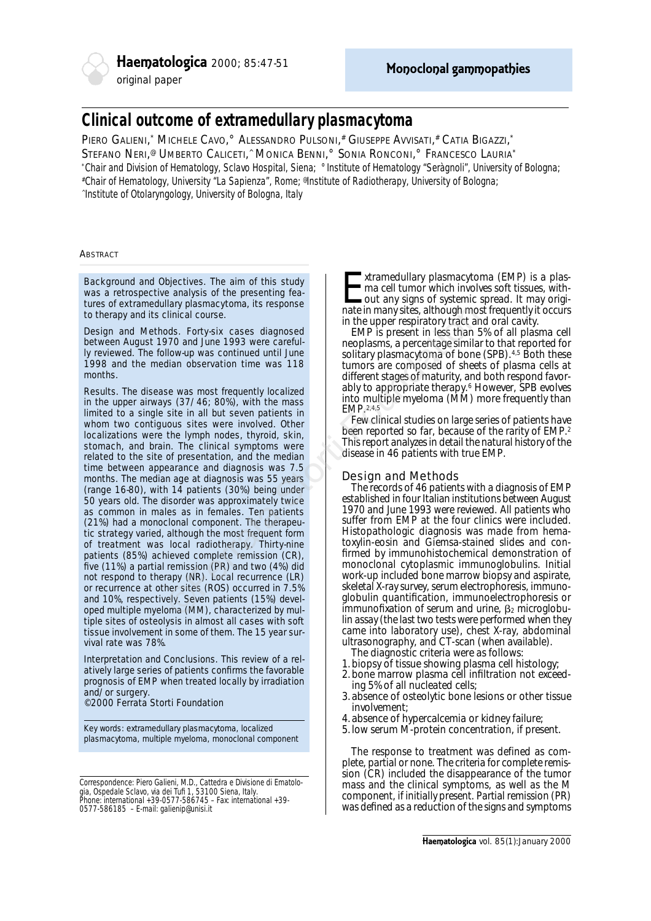

# **Clinical outcome of extramedullary plasmacytoma**

PIERO GALIENI,\* MICHELE CAVO,° ALESSANDRO PULSONI,# GIUSEPPE AVVISATI,# CATIA BIGAZZI,\* STEFANO NERI,<sup>@</sup> UMBERTO CALICETI,^ MONICA BENNI,<sup>°</sup> SONIA RONCONI,<sup>°</sup> FRANCESCO LAURIA<sup>\*</sup> *\*Chair and Division of Hematology, Sclavo Hospital, Siena; °Institute of Hematology "Seràgnoli", University of Bologna; #Chair of Hematology, University "La Sapienza", Rome; @Institute of Radiotherapy, University of Bologna; ^Institute of Otolaryngology, University of Bologna, Italy*

## **ABSTRACT**

*Background and Objectives*. The aim of this study was a retrospective analysis of the presenting features of extramedullary plasmacytoma, its response to therapy and its clinical course.

*Design and Methods.* Forty-six cases diagnosed between August 1970 and June 1993 were carefully reviewed. The follow-up was continued until June 1998 and the median observation time was 118 months.

*Results.* The disease was most frequently localized in the upper airways (37/46; 80%), with the mass limited to a single site in all but seven patients in whom two contiguous sites were involved. Other localizations were the lymph nodes, thyroid, skin, stomach, and brain. The clinical symptoms were related to the site of presentation, and the median time between appearance and diagnosis was 7.5 months. The median age at diagnosis was 55 years (range 16-80), with 14 patients (30%) being under 50 years old. The disorder was approximately twice as common in males as in females. Ten patients (21%) had a monoclonal component. The therapeutic strategy varied, although the most frequent form of treatment was local radiotherapy. Thirty-nine patients (85%) achieved complete remission (CR), five (11%) a partial remission (PR) and two (4%) did not respond to therapy (NR). Local recurrence (LR) or recurrence at other sites (ROS) occurred in 7.5% and 10%, respectively. Seven patients (15%) developed multiple myeloma (MM), characterized by multiple sites of osteolysis in almost all cases with soft tissue involvement in some of them. The 15 year survival rate was 78%. and June 1993 were careful to the the period of the state in the state of the state of the state of the state of the state of the state of the state of the state of the state of the state of the state of the state of the s

*Interpretation and Conclusions*. This review of a relatively large series of patients confirms the favorable prognosis of EMP when treated locally by irradiation and/or surgery.

©2000 Ferrata Storti Foundation

Key words: extramedullary plasmacytoma, localized plasmacytoma, multiple myeloma, monoclonal component

*Correspondence: Piero Galieni, M.D., Cattedra e Divisione di Ematologia, Ospedale Sclavo, via dei Tufi 1, 53100 Siena, Italy. Phone: international +39-0577-586745 – Fax: international +39- 0577-586185 – E-mail: galienip@unisi.it*

Extramedullary plasmacytoma (EMP) is a plasma cell tumor which involves soft tissues, without any signs of systemic spread. It may originate in many sites, although most frequently it occurs in the upper respiratory tract and oral cavity.

EMP is present in less than 5% of all plasma cell neoplasms, a percentage similar to that reported for solitary plasmacytoma of bone (SPB).4,5 Both these tumors are composed of sheets of plasma cells at different stages of maturity, and both respond favorably to appropriate therapy.6 However, SPB evolves into multiple myeloma (MM) more frequently than EMP.2,4,5

Few clinical studies on large series of patients have been reported so far, because of the rarity of EMP.2 This report analyzes in detail the natural history of the disease in 46 patients with true EMP.

## Design and Methods

The records of 46 patients with a diagnosis of EMP established in four Italian institutions between August 1970 and June 1993 were reviewed. All patients who suffer from EMP at the four clinics were included. Histopathologic diagnosis was made from hematoxylin-eosin and Giemsa-stained slides and confirmed by immunohistochemical demonstration of monoclonal cytoplasmic immunoglobulins. Initial work-up included bone marrow biopsy and aspirate, skeletal X-ray survey, serum electrophoresis, immunoglobulin quantification, immunoelectrophoresis or immunofixation of serum and urine,  $\beta_2$  microglobulin assay (the last two tests were performed when they came into laboratory use), chest X-ray, abdominal ultrasonography, and CT-scan (when available).

The diagnostic criteria were as follows:

- 1.biopsy of tissue showing plasma cell histology;
- 2.bone marrow plasma cell infiltration not exceeding 5% of all nucleated cells;
- 3.absence of osteolytic bone lesions or other tissue involvement;
- 4.absence of hypercalcemia or kidney failure;
- 5.low serum M-protein concentration, if present.

The response to treatment was defined as complete, partial or none. The criteria for complete remission (CR) included the disappearance of the tumor mass and the clinical symptoms, as well as the M component, if initially present. Partial remission (PR) was defined as a reduction of the signs and symptoms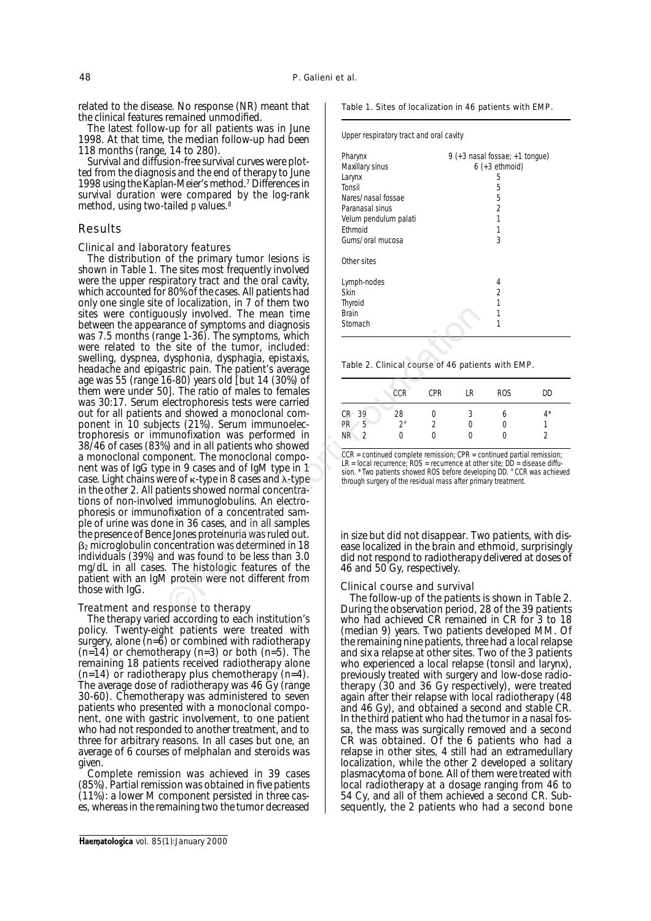related to the disease. No response (NR) meant that the clinical features remained unmodified.

The latest follow-up for all patients was in June 1998. At that time, the median follow-up had been 118 months (range, 14 to 280).

Survival and diffusion-free survival curves were plotted from the diagnosis and the end of therapy to June 1998 using the Kaplan-Meier's method.<sup>7</sup> Differences in survival duration were compared by the log-rank method, using two-tailed *p* values.8

# Results

## *Clinical and laboratory features*

The distribution of the primary tumor lesions is shown in Table 1. The sites most frequently involved were the upper respiratory tract and the oral cavity, which accounted for 80% of the cases. All patients had only one single site of localization, in 7 of them two sites were contiguously involved. The mean time between the appearance of symptoms and diagnosis was 7.5 months (range 1-36). The symptoms, which were related to the site of the tumor, included: swelling, dyspnea, dysphonia, dysphagia, epistaxis, headache and epigastric pain. The patient's average age was 55 (range 16-80) years old [but 14 (30%) of them were under 50]. The ratio of males to females was 30:17. Serum electrophoresis tests were carried out for all patients and showed a monoclonal component in 10 subjects (21%). Serum immunoelectrophoresis or immunofixation was performed in 38/46 of cases (83%) and in all patients who showed a monoclonal component. The monoclonal component was of IgG type in 9 cases and of IgM type in 1 case. Light chains were of  $\kappa$ -type in 8 cases and  $\lambda$ -type in the other 2. All patients showed normal concentrations of non-involved immunoglobulins. An electrophoresis or immunofixation of a concentrated sample of urine was done in 36 cases, and in all samples the presence of Bence Jones proteinuria was ruled out.  $\beta_2$  microglobulin concentration was determined in 18 individuals (39%) and was found to be less than 3.0 mg/dL in all cases. The histologic features of the patient with an IgM protein were not different from those with IgG. ously involved. The mean time<br>
and diagnosis and diagnosis and diagnosis and diagnosis and the storting of symphoms, which<br>
dysphonia, dysphagia, epistaxis,<br>
dysphonia, dysphagia, epistaxis,<br>
and in The patient's average<br>

#### *Treatment and response to therapy*

The therapy varied according to each institution's policy. Twenty-eight patients were treated with surgery, alone (n=6) or combined with radiotherapy  $(n=14)$  or chemotherapy  $(n=3)$  or both  $(n=5)$ . The remaining 18 patients received radiotherapy alone (n=14) or radiotherapy plus chemotherapy (n=4). The average dose of radiotherapy was 46 Gy (range 30-60). Chemotherapy was administered to seven patients who presented with a monoclonal component, one with gastric involvement, to one patient who had not responded to another treatment, and to three for arbitrary reasons. In all cases but one, an average of 6 courses of melphalan and steroids was given.

Complete remission was achieved in 39 cases (85%). Partial remission was obtained in five patients (11%): a lower M component persisted in three cases, whereas in the remaining two the tumor decreased

#### Table 1. Sites of localization in 46 patients with EMP.

*Upper respiratory tract and oral cavity*

| Pharynx<br>Maxillary sinus | 9 (+3 nasal fossae; +1 tongue)<br>$6 (+3)$ ethmoid) |
|----------------------------|-----------------------------------------------------|
| Larynx                     | 5                                                   |
| Tonsil                     | 5                                                   |
| Nares/nasal fossae         | 5                                                   |
| Paranasal sinus            | 2                                                   |
| Velum pendulum palati      | 1                                                   |
| Fthmoid                    |                                                     |
| Gums/oral mucosa           | 3                                                   |
| Other sites                |                                                     |
| Lymph-nodes                | 4                                                   |
| Skin                       | 2                                                   |
| <b>Thyroid</b>             |                                                     |
| <b>Brain</b>               |                                                     |
| Stomach                    |                                                     |

## Table 2. Clinical course of 46 patients with EMP.

|                       | <b>CCR</b>  | <b>CPR</b> | LR | <b>ROS</b> | DD    |
|-----------------------|-------------|------------|----|------------|-------|
| CR 39                 | 28          |            |    |            | $4^*$ |
| PR<br>5               | $2^{\circ}$ |            |    |            |       |
| NR.<br>$\mathfrak{D}$ |             |            |    |            |       |

*CCR = continued complete remission; CPR = continued partial remission; LR = local recurrence; ROS = recurrence at other site; DD = disease diffusion. \*Two patients showed ROS before developing DD. °CCR was achieved through surgery of the residual mass after primary treatment.*

in size but did not disappear. Two patients, with disease localized in the brain and ethmoid, surprisingly did not respond to radiotherapy delivered at doses of 46 and 50 Gy, respectively.

#### *Clinical course and survival*

The follow-up of the patients is shown in Table 2. During the observation period, 28 of the 39 patients who had achieved CR remained in CR for 3 to 18 (median 9) years. Two patients developed MM. Of the remaining nine patients, three had a local relapse and six a relapse at other sites. Two of the 3 patients who experienced a local relapse (tonsil and larynx), previously treated with surgery and low-dose radiotherapy (30 and 36 Gy respectively), were treated again after their relapse with local radiotherapy (48 and 46 Gy), and obtained a second and stable CR. In the third patient who had the tumor in a nasal fossa, the mass was surgically removed and a second CR was obtained. Of the 6 patients who had a relapse in other sites, 4 still had an extramedullary localization, while the other 2 developed a solitary plasmacytoma of bone. All of them were treated with local radiotherapy at a dosage ranging from 46 to 54 Cy, and all of them achieved a second CR. Subsequently, the 2 patients who had a second bone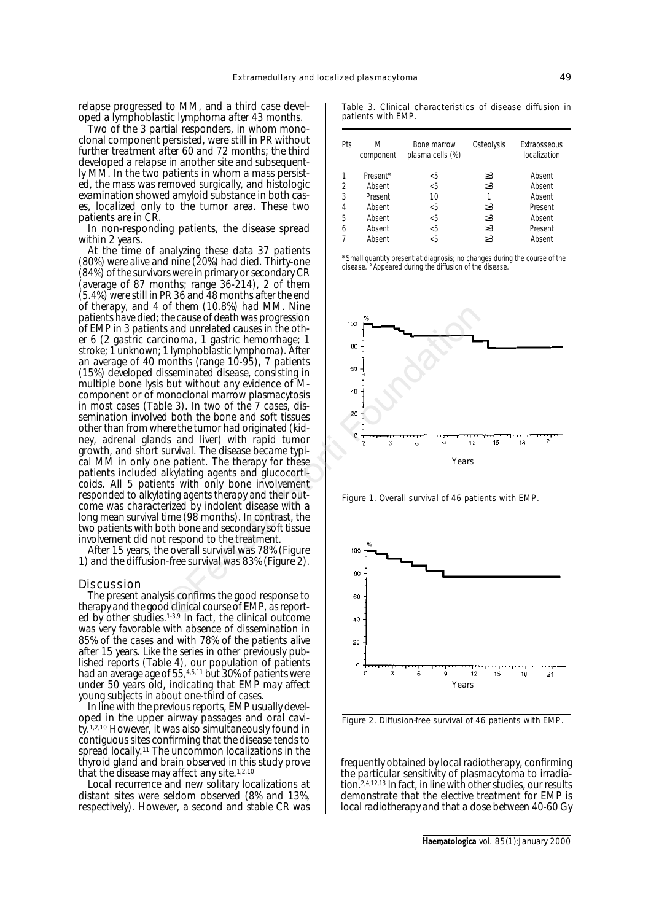relapse progressed to MM, and a third case developed a lymphoblastic lymphoma after 43 months.

Two of the 3 partial responders, in whom monoclonal component persisted, were still in PR without further treatment after 60 and 72 months; the third developed a relapse in another site and subsequently MM. In the two patients in whom a mass persisted, the mass was removed surgically, and histologic examination showed amyloid substance in both cases, localized only to the tumor area. These two patients are in CR.

In non-responding patients, the disease spread within 2 years.

At the time of analyzing these data 37 patients (80%) were alive and nine (20%) had died. Thirty-one (84%) of the survivors were in primary or secondary CR (average of 87 months; range 36-214), 2 of them (5.4%) were still in PR 36 and 48 months after the end of therapy, and 4 of them (10.8%) had MM. Nine patients have died; the cause of death was progression of EMP in 3 patients and unrelated causes in the other 6 (2 gastric carcinoma, 1 gastric hemorrhage; 1 stroke; 1 unknown; 1 lymphoblastic lymphoma). After an average of 40 months (range 10-95), 7 patients (15%) developed disseminated disease, consisting in multiple bone lysis but without any evidence of Mcomponent or of monoclonal marrow plasmacytosis in most cases (Table 3). In two of the 7 cases, dissemination involved both the bone and soft tissues other than from where the tumor had originated (kidney, adrenal glands and liver) with rapid tumor growth, and short survival. The disease became typical MM in only one patient. The therapy for these patients included alkylating agents and glucocorticoids. All 5 patients with only bone involvement responded to alkylating agents therapy and their outcome was characterized by indolent disease with a long mean survival time (98 months). In contrast, the two patients with both bone and secondary soft tissue involvement did not respond to the treatment. The cause of death was progression<br>
the cause of death was progression<br>
and unrelated causes in the oth-<br>
intoma, 1 gastric hemorrhage; 1<br>
1 lymphoblastic lymphoma). After<br>
but without any evidence of M-<br>
but without any e

After 15 years, the overall survival was 78% (Figure 1) and the diffusion-free survival was 83% (Figure 2).

#### Discussion

The present analysis confirms the good response to therapy and the good clinical course of EMP, as reported by other studies.<sup>1-3,9</sup> In fact, the clinical outcome was very favorable with absence of dissemination in 85% of the cases and with 78% of the patients alive after 15 years. Like the series in other previously published reports (Table 4), our population of patients had an average age of 55,4,5,11 but 30% of patients were under 50 years old, indicating that EMP may affect young subjects in about one-third of cases.

In line with the previous reports, EMP usually developed in the upper airway passages and oral cavity.1,2,10 However, it was also simultaneously found in contiguous sites confirming that the disease tends to spread locally.<sup>11</sup> The uncommon localizations in the thyroid gland and brain observed in this study prove that the disease may affect any site.<sup>1,2,10</sup>

Local recurrence and new solitary localizations at distant sites were seldom observed (8% and 13%, respectively). However, a second and stable CR was

Table 3. Clinical characteristics of disease diffusion in patients with EMP.

| Pts | М<br>component | <i>Bone marrow</i><br>plasma cells (%) | <i><b>Osteolysis</b></i> | Extraosseous<br>localization |
|-----|----------------|----------------------------------------|--------------------------|------------------------------|
|     | Present*       | $<$ 5                                  | $\geq$ 3                 | Absent                       |
| 2   | Absent         | < 5                                    | $\geq$ 3                 | Absent                       |
| 3   | Present        | 10                                     | 1                        | Absent                       |
| 4   | Absent         | < 5                                    | $\geq$ 3                 | Present                      |
| 5   | Absent         | < 5                                    | $\geq$ 3                 | Absent                       |
| 6   | Absent         | < 5                                    | $\geq$ 3                 | Present                      |
|     | Absent         | <5                                     | >3                       | Absent                       |

*\*Small quantity present at diagnosis; no changes during the course of the disease. °Appeared during the diffusion of the disease.*



Figure 1. Overall survival of 46 patients with EMP.



Figure 2. Diffusion-free survival of 46 patients with EMP.

frequently obtained by local radiotherapy, confirming the particular sensitivity of plasmacytoma to irradiation.2,4,12,13 In fact, in line with other studies, our results demonstrate that the elective treatment for EMP is local radiotherapy and that a dose between 40-60 Gy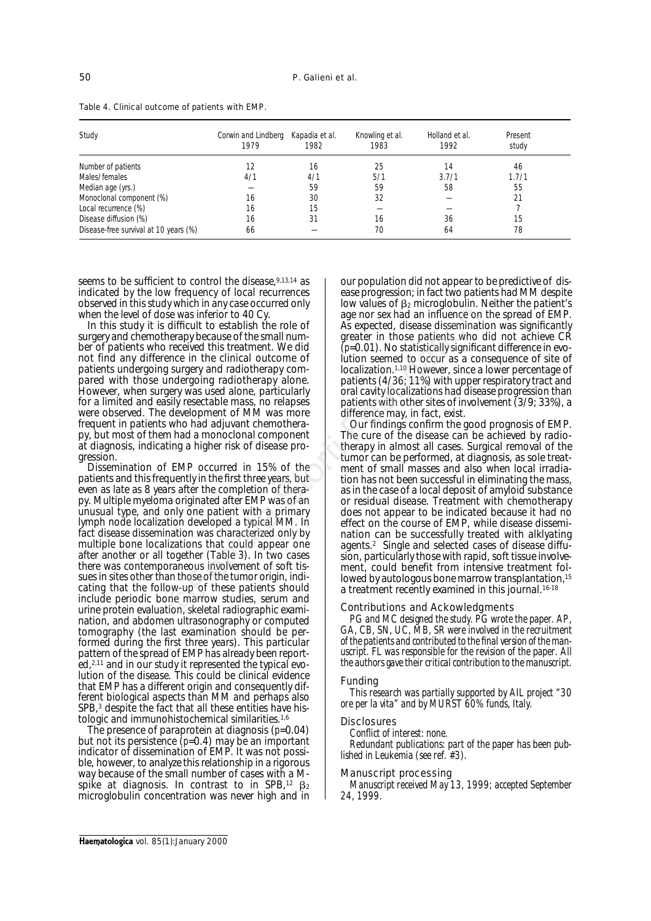| Study                                 | Corwin and Lindberg<br>1979 | Kapadia et al.<br>1982 | Knowling et al.<br>1983 | Holland et al.<br>1992 | Present<br>study |
|---------------------------------------|-----------------------------|------------------------|-------------------------|------------------------|------------------|
|                                       |                             |                        |                         |                        |                  |
| Number of patients                    | 12                          | 16                     | 25                      | 14                     | 46               |
| Males/females                         | 4/1                         | 4/1                    | 5/1                     | 3.7/1                  | 1.7/1            |
| Median age (yrs.)                     |                             | 59                     | 59                      | 58                     | 55               |
| Monoclonal component (%)              | 16                          | 30                     | 32                      |                        | 21               |
| Local recurrence (%)                  | 16                          | 15                     |                         |                        |                  |
| Disease diffusion (%)                 | 16                          | 31                     | 16                      | 36                     | 15               |
| Disease-free survival at 10 years (%) | 66                          |                        | 70                      | 64                     | 78               |

Table 4. Clinical outcome of patients with EMP.

seems to be sufficient to control the disease,  $9,13,14$  as indicated by the low frequency of local recurrences observed in this study which in any case occurred only when the level of dose was inferior to 40 Cy.

In this study it is difficult to establish the role of surgery and chemotherapy because of the small number of patients who received this treatment. We did not find any difference in the clinical outcome of patients undergoing surgery and radiotherapy compared with those undergoing radiotherapy alone. However, when surgery was used alone, particularly for a limited and easily resectable mass, no relapses were observed. The development of MM was more frequent in patients who had adjuvant chemotherapy, but most of them had a monoclonal component at diagnosis, indicating a higher risk of disease progression.

Dissemination of EMP occurred in 15% of the patients and this frequently in the first three years, but even as late as 8 years after the completion of therapy. Multiple myeloma originated after EMP was of an unusual type, and only one patient with a primary lymph node localization developed a typical MM. In fact disease dissemination was characterized only by multiple bone localizations that could appear one after another or all together (Table 3). In two cases there was contemporaneous involvement of soft tissues in sites other than those of the tumor origin, indicating that the follow-up of these patients should include periodic bone marrow studies, serum and urine protein evaluation, skeletal radiographic examination, and abdomen ultrasonography or computed tomography (the last examination should be performed during the first three years). This particular pattern of the spread of EMP has already been reported,<sup>2,11</sup> and in our study it represented the typical evolution of the disease. This could be clinical evidence that EMP has a different origin and consequently different biological aspects than MM and perhaps also SPB,<sup>3</sup> despite the fact that all these entities have histologic and immunohistochemical similarities.1,6

The presence of paraprotein at diagnosis (*p*=0.04) but not its persistence  $(p=0.4)$  may be an important indicator of dissemination of EMP. It was not possible, however, to analyze this relationship in a rigorous way because of the small number of cases with a Mspike at diagnosis. In contrast to in SPB, $^{12}$   $\beta_2$ microglobulin concentration was never high and in our population did not appear to be predictive of disease progression; in fact two patients had MM despite low values of  $\beta_2$  microglobulin. Neither the patient's age nor sex had an influence on the spread of EMP. As expected, disease dissemination was significantly greater in those patients who did not achieve CR (*p*=0.01). No statistically significant difference in evolution seemed to occur as a consequence of site of localization.1,10 However, since a lower percentage of patients (4/36; 11%) with upper respiratory tract and oral cavity localizations had disease progression than patients with other sites of involvement (3/9; 33%), a difference may, in fact, exist.

Our findings confirm the good prognosis of EMP. The cure of the disease can be achieved by radiotherapy in almost all cases. Surgical removal of the tumor can be performed, at diagnosis, as sole treatment of small masses and also when local irradiation has not been successful in eliminating the mass, as in the case of a local deposit of amyloid substance or residual disease. Treatment with chemotherapy does not appear to be indicated because it had no effect on the course of EMP, while disease dissemination can be successfully treated with alklyating agents.2 Single and selected cases of disease diffusion, particularly those with rapid, soft tissue involvement, could benefit from intensive treatment followed by autologous bone marrow transplantation,<sup>15</sup> a treatment recently examined in this journal.16-18  $\frac{1}{2}$  studies the role of the calibrication and  $\frac{1}{2}$  states was inferior to 40 Cy.<br>
dege nor sex had an influence or<br>
herapy because of the small num-<br>
preceived this treatment. We did<br>
one in the clinical outcom

## *Contributions and Ackowledgments*

*PG and MC designed the study. PG wrote the paper. AP, GA, CB, SN, UC, MB, SR were involved in the recruitment of the patients and contributed to the final version of the manuscript. FL was responsible for the revision of the paper. All the authors gave their critical contribution to the manuscript.*

#### *Funding*

*This research was partially supported by AIL project "30 ore per la vita" and by MURST 60% funds, Italy.*

#### *Disclosures*

*Conflict of interest: none.*

*Redundant publications: part of the paper has been published in Leukemia (see ref. #3).*

#### *Manuscript processing*

*Manuscript received May 13, 1999; accepted September 24, 1999.*